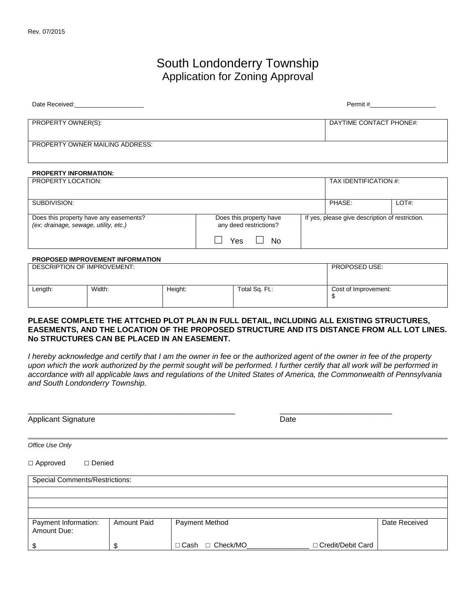## South Londonderry Township Application for Zoning Approval

| Date Received:                  | Permit #                |
|---------------------------------|-------------------------|
| PROPERTY OWNER(S):              | DAYTIME CONTACT PHONE#: |
| PROPERTY OWNER MAILING ADDRESS: |                         |

## **PROPERTY INFORMATION:**

| PROPERTY LOCATION:                                                              |                                                                 |  | TAX IDENTIFICATION #:                           |       |
|---------------------------------------------------------------------------------|-----------------------------------------------------------------|--|-------------------------------------------------|-------|
|                                                                                 |                                                                 |  |                                                 |       |
| SUBDIVISION:                                                                    |                                                                 |  | PHASE:                                          | LOT#: |
| Does this property have any easements?<br>(ex: drainage, sewage, utility, etc.) | Does this property have<br>any deed restrictions?<br>No.<br>Yes |  | If yes, please give description of restriction. |       |

## **PROPOSED IMPROVEMENT INFORMATION**

| DESCRIPTION OF IMPROVEMENT: |        |         | <b>PROPOSED USE:</b> |                      |
|-----------------------------|--------|---------|----------------------|----------------------|
| Length:                     | Width: | Height: | Total Sq. Ft.:       | Cost of Improvement: |

## **PLEASE COMPLETE THE ATTCHED PLOT PLAN IN FULL DETAIL, INCLUDING ALL EXISTING STRUCTURES, EASEMENTS, AND THE LOCATION OF THE PROPOSED STRUCTURE AND ITS DISTANCE FROM ALL LOT LINES. No STRUCTURES CAN BE PLACED IN AN EASEMENT.**

*I hereby acknowledge and certify that I am the owner in fee or the authorized agent of the owner in fee of the property upon which the work authorized by the permit sought will be performed. I further certify that all work will be performed in accordance with all applicable laws and regulations of the United States of America, the Commonwealth of Pennsylvania and South Londonderry Township.* 

| <b>Applicant Signature</b>            |             |                                | Date                |               |
|---------------------------------------|-------------|--------------------------------|---------------------|---------------|
| Office Use Only                       |             |                                |                     |               |
| □ Approved<br>$\Box$ Denied           |             |                                |                     |               |
| <b>Special Comments/Restrictions:</b> |             |                                |                     |               |
|                                       |             |                                |                     |               |
|                                       |             |                                |                     |               |
|                                       |             |                                |                     |               |
| Payment Information:<br>Amount Due:   | Amount Paid | Payment Method                 |                     | Date Received |
| \$                                    | \$          | $\Box$ Check/MO<br>$\Box$ Cash | □ Credit/Debit Card |               |